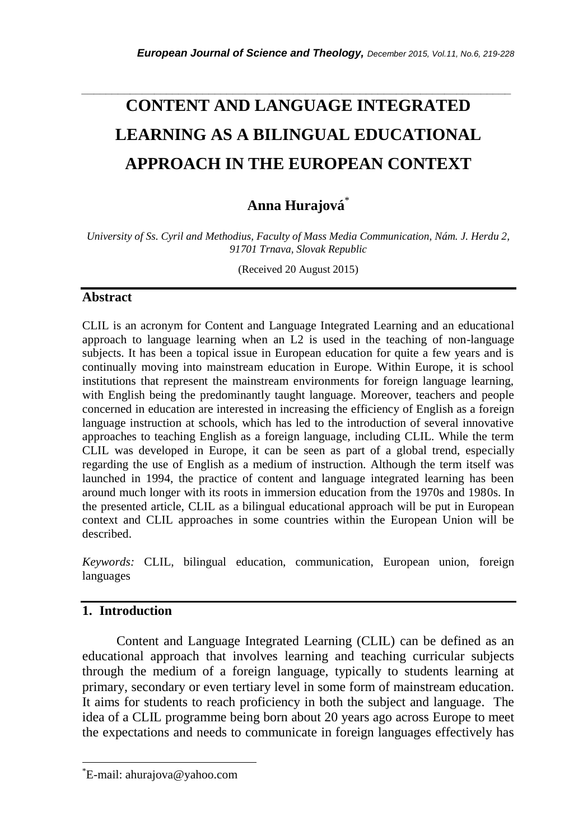# **CONTENT AND LANGUAGE INTEGRATED LEARNING AS A BILINGUAL EDUCATIONAL APPROACH IN THE EUROPEAN CONTEXT**

*\_\_\_\_\_\_\_\_\_\_\_\_\_\_\_\_\_\_\_\_\_\_\_\_\_\_\_\_\_\_\_\_\_\_\_\_\_\_\_\_\_\_\_\_\_\_\_\_\_\_\_\_\_\_\_\_\_\_\_\_\_\_\_\_\_\_\_\_\_\_\_*

# **Anna Hurajová** \*

*University of Ss. Cyril and Methodius, Faculty of Mass Media Communication, Nám. J. Herdu 2, 91701 Trnava, Slovak Republic*

(Received 20 August 2015)

#### **Abstract**

CLIL is an acronym for Content and Language Integrated Learning and an educational approach to language learning when an L2 is used in the teaching of non-language subjects. It has been a topical issue in European education for quite a few years and is continually moving into mainstream education in Europe. Within Europe, it is school institutions that represent the mainstream environments for foreign language learning, with English being the predominantly taught language. Moreover, teachers and people concerned in education are interested in increasing the efficiency of English as a foreign language instruction at schools, which has led to the introduction of several innovative approaches to teaching English as a foreign language, including CLIL. While the term CLIL was developed in Europe, it can be seen as part of a global trend, especially regarding the use of English as a medium of instruction. Although the term itself was launched in 1994, the practice of content and language integrated learning has been around much longer with its roots in immersion education from the 1970s and 1980s. In the presented article, CLIL as a bilingual educational approach will be put in European context and CLIL approaches in some countries within the European Union will be described.

*Keywords:* CLIL, bilingual education, communication, European union, foreign languages

# **1. Introduction**

l

Content and Language Integrated Learning (CLIL) can be defined as an educational approach that involves learning and teaching curricular subjects through the medium of a foreign language, typically to students learning at primary, secondary or even tertiary level in some form of mainstream education. It aims for students to reach proficiency in both the subject and language. The idea of a CLIL programme being born about 20 years ago across Europe to meet the expectations and needs to communicate in foreign languages effectively has

<sup>\*</sup>E-mail: ahurajova@yahoo.com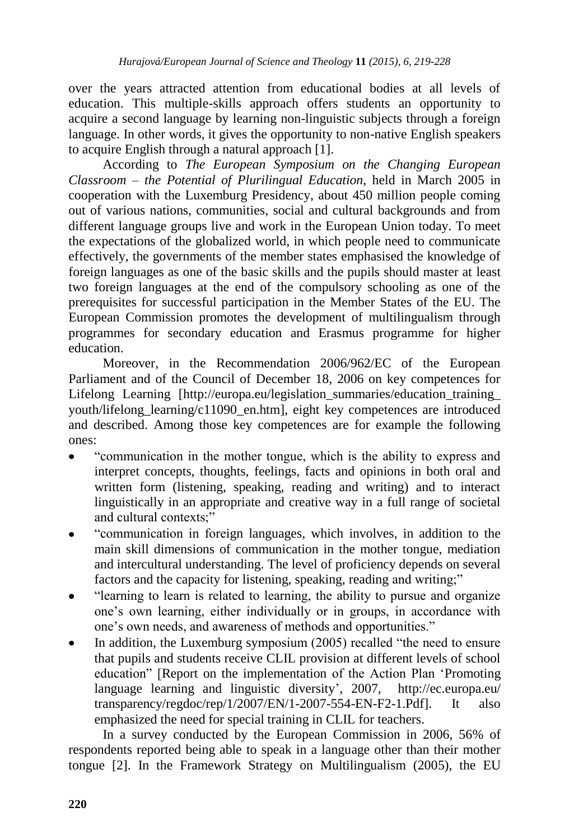over the years attracted attention from educational bodies at all levels of education. This multiple-skills approach offers students an opportunity to acquire a second language by learning non-linguistic subjects through a foreign language. In other words, it gives the opportunity to non-native English speakers to acquire English through a natural approach [1].

According to *The European Symposium on the Changing European Classroom – the Potential of Plurilingual Education*, held in March 2005 in cooperation with the Luxemburg Presidency, about 450 million people coming out of various nations, communities, social and cultural backgrounds and from different language groups live and work in the European Union today. To meet the expectations of the globalized world, in which people need to communicate effectively, the governments of the member states emphasised the knowledge of foreign languages as one of the basic skills and the pupils should master at least two foreign languages at the end of the compulsory schooling as one of the prerequisites for successful participation in the Member States of the EU. The European Commission promotes the development of multilingualism through programmes for secondary education and Erasmus programme for higher education.

Moreover, in the Recommendation 2006/962/EC of the European Parliament and of the Council of December 18, 2006 on key competences for Lifelong Learning [http://europa.eu/legislation summaries/education training youth/lifelong\_learning/c11090\_en.htm], eight key competences are introduced and described. Among those key competences are for example the following ones:

- "communication in the mother tongue, which is the ability to express and  $\bullet$ interpret concepts, thoughts, feelings, facts and opinions in both oral and written form (listening, speaking, reading and writing) and to interact linguistically in an appropriate and creative way in a full range of societal and cultural contexts;"
- "communication in foreign languages, which involves, in addition to the main skill dimensions of communication in the mother tongue, mediation and intercultural understanding. The level of proficiency depends on several factors and the capacity for listening, speaking, reading and writing;"
- "learning to learn is related to learning, the ability to pursue and organize one"s own learning, either individually or in groups, in accordance with one"s own needs, and awareness of methods and opportunities."
- In addition, the Luxemburg symposium (2005) recalled "the need to ensure that pupils and students receive CLIL provision at different levels of school education" [Report on the implementation of the Action Plan "Promoting language learning and linguistic diversity', 2007, http://ec.europa.eu/ transparency/regdoc/rep/1/2007/EN/1-2007-554-EN-F2-1.Pdf]. It also emphasized the need for special training in CLIL for teachers.

In a survey conducted by the European Commission in 2006, 56% of respondents reported being able to speak in a language other than their mother tongue [2]. In the Framework Strategy on Multilingualism (2005), the EU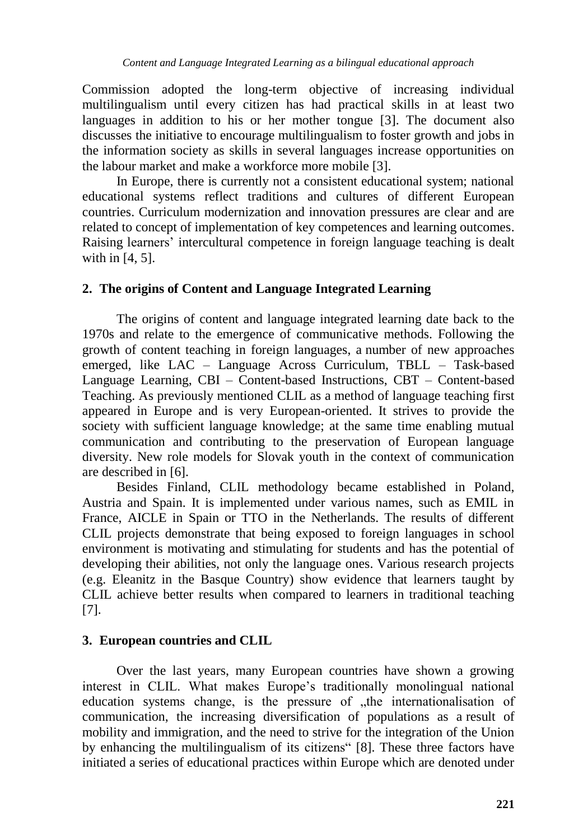Commission adopted the long-term objective of increasing individual multilingualism until every citizen has had practical skills in at least two languages in addition to his or her mother tongue [3]. The document also discusses the initiative to encourage multilingualism to foster growth and jobs in the information society as skills in several languages increase opportunities on the labour market and make a workforce more mobile [3].

In Europe, there is currently not a consistent educational system; national educational systems reflect traditions and cultures of different European countries. Curriculum modernization and innovation pressures are clear and are related to concept of implementation of key competences and learning outcomes. Raising learners" intercultural competence in foreign language teaching is dealt with in [4, 5].

#### **2. The origins of Content and Language Integrated Learning**

The origins of content and language integrated learning date back to the 1970s and relate to the emergence of communicative methods. Following the growth of content teaching in foreign languages, a number of new approaches emerged, like LAC – Language Across Curriculum, TBLL – Task-based Language Learning, CBI – Content-based Instructions, CBT – Content-based Teaching. As previously mentioned CLIL as a method of language teaching first appeared in Europe and is very European-oriented. It strives to provide the society with sufficient language knowledge; at the same time enabling mutual communication and contributing to the preservation of European language diversity. New role models for Slovak youth in the context of communication are described in [6].

Besides Finland, CLIL methodology became established in Poland, Austria and Spain. It is implemented under various names, such as EMIL in France, AICLE in Spain or TTO in the Netherlands. The results of different CLIL projects demonstrate that being exposed to foreign languages in school environment is motivating and stimulating for students and has the potential of developing their abilities, not only the language ones. Various research projects (e.g. Eleanitz in the Basque Country) show evidence that learners taught by CLIL achieve better results when compared to learners in traditional teaching [7].

#### **3. European countries and CLIL**

Over the last years, many European countries have shown a growing interest in CLIL. What makes Europe"s traditionally monolingual national education systems change, is the pressure of "the internationalisation of communication, the increasing diversification of populations as a result of mobility and immigration, and the need to strive for the integration of the Union by enhancing the multilingualism of its citizens" [8]. These three factors have initiated a series of educational practices within Europe which are denoted under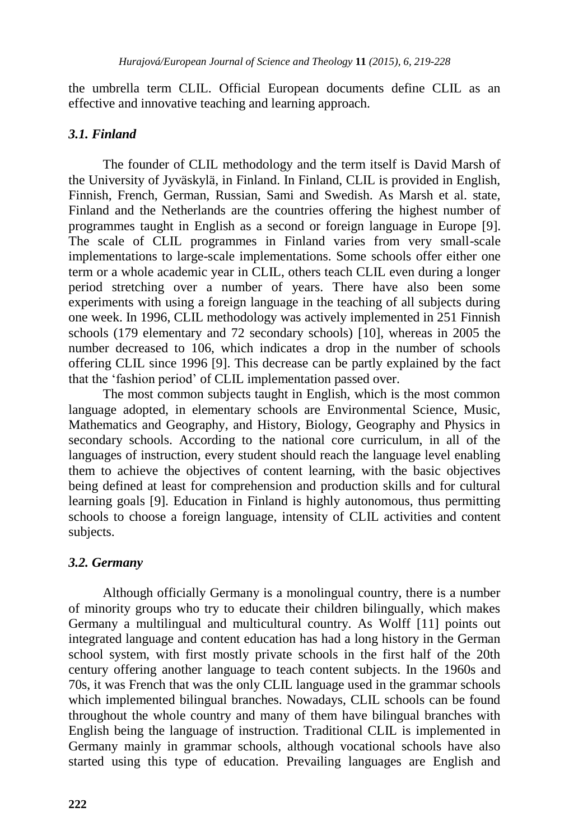the umbrella term CLIL. Official European documents define CLIL as an effective and innovative teaching and learning approach.

#### *3.1. Finland*

The founder of CLIL methodology and the term itself is David Marsh of the University of Jyväskylä, in Finland. In Finland, CLIL is provided in English, Finnish, French, German, Russian, Sami and Swedish. As Marsh et al. state, Finland and the Netherlands are the countries offering the highest number of programmes taught in English as a second or foreign language in Europe [9]. The scale of CLIL programmes in Finland varies from very small-scale implementations to large-scale implementations. Some schools offer either one term or a whole academic year in CLIL, others teach CLIL even during a longer period stretching over a number of years. There have also been some experiments with using a foreign language in the teaching of all subjects during one week. In 1996, CLIL methodology was actively implemented in 251 Finnish schools (179 elementary and 72 secondary schools) [10], whereas in 2005 the number decreased to 106, which indicates a drop in the number of schools offering CLIL since 1996 [9]. This decrease can be partly explained by the fact that the "fashion period" of CLIL implementation passed over.

The most common subjects taught in English, which is the most common language adopted, in elementary schools are Environmental Science, Music, Mathematics and Geography, and History, Biology, Geography and Physics in secondary schools. According to the national core curriculum, in all of the languages of instruction, every student should reach the language level enabling them to achieve the objectives of content learning, with the basic objectives being defined at least for comprehension and production skills and for cultural learning goals [9]. Education in Finland is highly autonomous, thus permitting schools to choose a foreign language, intensity of CLIL activities and content subjects.

# *3.2. Germany*

Although officially Germany is a monolingual country, there is a number of minority groups who try to educate their children bilingually, which makes Germany a multilingual and multicultural country. As Wolff [11] points out integrated language and content education has had a long history in the German school system, with first mostly private schools in the first half of the 20th century offering another language to teach content subjects. In the 1960s and 70s, it was French that was the only CLIL language used in the grammar schools which implemented bilingual branches. Nowadays, CLIL schools can be found throughout the whole country and many of them have bilingual branches with English being the language of instruction. Traditional CLIL is implemented in Germany mainly in grammar schools, although vocational schools have also started using this type of education. Prevailing languages are English and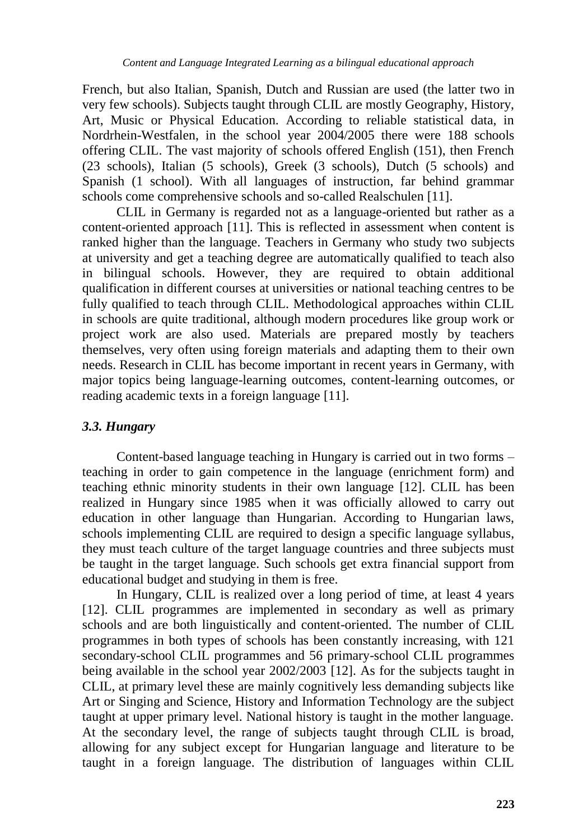French, but also Italian, Spanish, Dutch and Russian are used (the latter two in very few schools). Subjects taught through CLIL are mostly Geography, History, Art, Music or Physical Education. According to reliable statistical data, in Nordrhein-Westfalen, in the school year 2004/2005 there were 188 schools offering CLIL. The vast majority of schools offered English (151), then French (23 schools), Italian (5 schools), Greek (3 schools), Dutch (5 schools) and Spanish (1 school). With all languages of instruction, far behind grammar schools come comprehensive schools and so-called Realschulen [11].

CLIL in Germany is regarded not as a language-oriented but rather as a content-oriented approach [11]. This is reflected in assessment when content is ranked higher than the language. Teachers in Germany who study two subjects at university and get a teaching degree are automatically qualified to teach also in bilingual schools. However, they are required to obtain additional qualification in different courses at universities or national teaching centres to be fully qualified to teach through CLIL. Methodological approaches within CLIL in schools are quite traditional, although modern procedures like group work or project work are also used. Materials are prepared mostly by teachers themselves, very often using foreign materials and adapting them to their own needs. Research in CLIL has become important in recent years in Germany, with major topics being language-learning outcomes, content-learning outcomes, or reading academic texts in a foreign language [11].

# *3.3. Hungary*

Content-based language teaching in Hungary is carried out in two forms – teaching in order to gain competence in the language (enrichment form) and teaching ethnic minority students in their own language [12]. CLIL has been realized in Hungary since 1985 when it was officially allowed to carry out education in other language than Hungarian. According to Hungarian laws, schools implementing CLIL are required to design a specific language syllabus, they must teach culture of the target language countries and three subjects must be taught in the target language. Such schools get extra financial support from educational budget and studying in them is free.

In Hungary, CLIL is realized over a long period of time, at least 4 years [12]. CLIL programmes are implemented in secondary as well as primary schools and are both linguistically and content-oriented. The number of CLIL programmes in both types of schools has been constantly increasing, with 121 secondary-school CLIL programmes and 56 primary-school CLIL programmes being available in the school year 2002/2003 [12]. As for the subjects taught in CLIL, at primary level these are mainly cognitively less demanding subjects like Art or Singing and Science, History and Information Technology are the subject taught at upper primary level. National history is taught in the mother language. At the secondary level, the range of subjects taught through CLIL is broad, allowing for any subject except for Hungarian language and literature to be taught in a foreign language. The distribution of languages within CLIL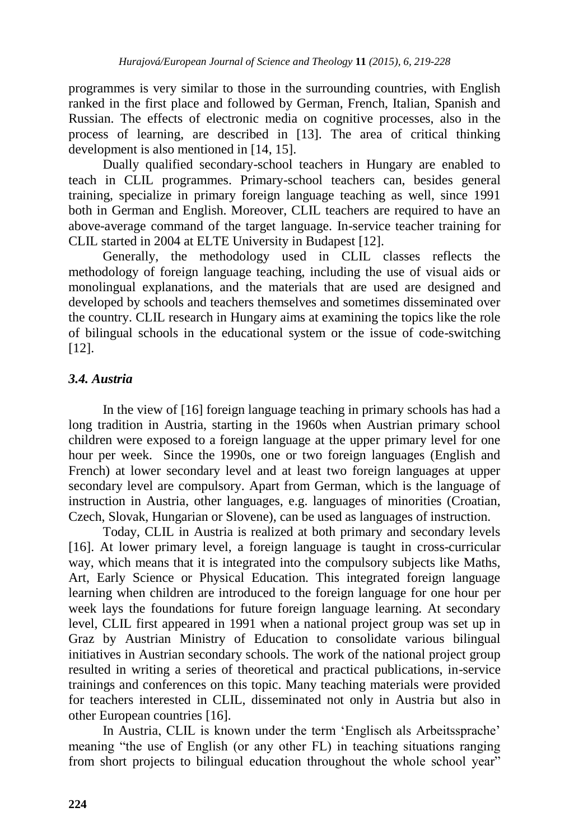programmes is very similar to those in the surrounding countries, with English ranked in the first place and followed by German, French, Italian, Spanish and Russian. The effects of electronic media on cognitive processes, also in the process of learning, are described in [13]. The area of critical thinking development is also mentioned in [14, 15].

Dually qualified secondary-school teachers in Hungary are enabled to teach in CLIL programmes. Primary-school teachers can, besides general training, specialize in primary foreign language teaching as well, since 1991 both in German and English. Moreover, CLIL teachers are required to have an above-average command of the target language. In-service teacher training for CLIL started in 2004 at ELTE University in Budapest [12].

Generally, the methodology used in CLIL classes reflects the methodology of foreign language teaching, including the use of visual aids or monolingual explanations, and the materials that are used are designed and developed by schools and teachers themselves and sometimes disseminated over the country. CLIL research in Hungary aims at examining the topics like the role of bilingual schools in the educational system or the issue of code-switching [12].

# *3.4. Austria*

In the view of [16] foreign language teaching in primary schools has had a long tradition in Austria, starting in the 1960s when Austrian primary school children were exposed to a foreign language at the upper primary level for one hour per week. Since the 1990s, one or two foreign languages (English and French) at lower secondary level and at least two foreign languages at upper secondary level are compulsory. Apart from German, which is the language of instruction in Austria, other languages, e.g. languages of minorities (Croatian, Czech, Slovak, Hungarian or Slovene), can be used as languages of instruction.

Today, CLIL in Austria is realized at both primary and secondary levels [16]. At lower primary level, a foreign language is taught in cross-curricular way, which means that it is integrated into the compulsory subjects like Maths, Art, Early Science or Physical Education. This integrated foreign language learning when children are introduced to the foreign language for one hour per week lays the foundations for future foreign language learning. At secondary level, CLIL first appeared in 1991 when a national project group was set up in Graz by Austrian Ministry of Education to consolidate various bilingual initiatives in Austrian secondary schools. The work of the national project group resulted in writing a series of theoretical and practical publications, in-service trainings and conferences on this topic. Many teaching materials were provided for teachers interested in CLIL, disseminated not only in Austria but also in other European countries [16].

In Austria, CLIL is known under the term "Englisch als Arbeitssprache" meaning "the use of English (or any other FL) in teaching situations ranging from short projects to bilingual education throughout the whole school year"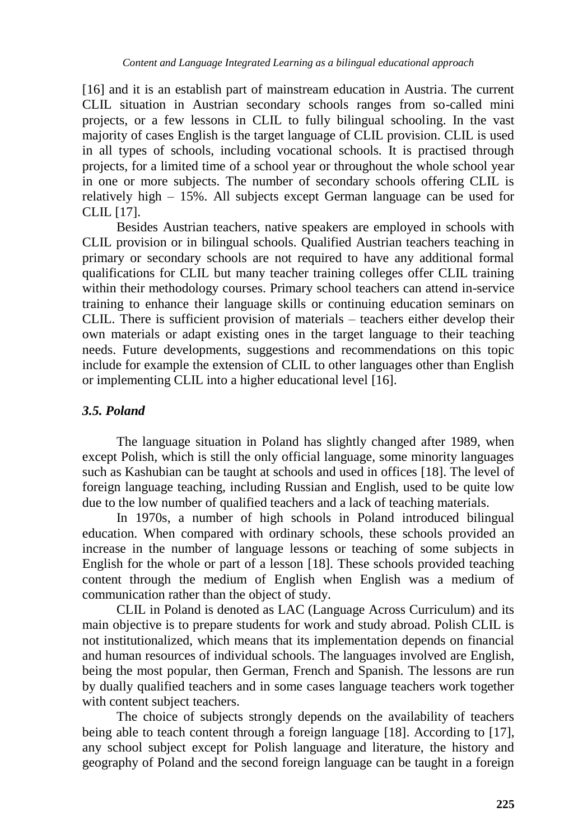[16] and it is an establish part of mainstream education in Austria. The current CLIL situation in Austrian secondary schools ranges from so-called mini projects, or a few lessons in CLIL to fully bilingual schooling. In the vast majority of cases English is the target language of CLIL provision. CLIL is used in all types of schools, including vocational schools. It is practised through projects, for a limited time of a school year or throughout the whole school year in one or more subjects. The number of secondary schools offering CLIL is relatively high – 15%. All subjects except German language can be used for CLIL [17].

Besides Austrian teachers, native speakers are employed in schools with CLIL provision or in bilingual schools. Qualified Austrian teachers teaching in primary or secondary schools are not required to have any additional formal qualifications for CLIL but many teacher training colleges offer CLIL training within their methodology courses. Primary school teachers can attend in-service training to enhance their language skills or continuing education seminars on CLIL. There is sufficient provision of materials – teachers either develop their own materials or adapt existing ones in the target language to their teaching needs. Future developments, suggestions and recommendations on this topic include for example the extension of CLIL to other languages other than English or implementing CLIL into a higher educational level [16].

# *3.5. Poland*

The language situation in Poland has slightly changed after 1989, when except Polish, which is still the only official language, some minority languages such as Kashubian can be taught at schools and used in offices [18]. The level of foreign language teaching, including Russian and English, used to be quite low due to the low number of qualified teachers and a lack of teaching materials.

In 1970s, a number of high schools in Poland introduced bilingual education. When compared with ordinary schools, these schools provided an increase in the number of language lessons or teaching of some subjects in English for the whole or part of a lesson [18]. These schools provided teaching content through the medium of English when English was a medium of communication rather than the object of study.

CLIL in Poland is denoted as LAC (Language Across Curriculum) and its main objective is to prepare students for work and study abroad. Polish CLIL is not institutionalized, which means that its implementation depends on financial and human resources of individual schools. The languages involved are English, being the most popular, then German, French and Spanish. The lessons are run by dually qualified teachers and in some cases language teachers work together with content subject teachers.

The choice of subjects strongly depends on the availability of teachers being able to teach content through a foreign language [18]. According to [17], any school subject except for Polish language and literature, the history and geography of Poland and the second foreign language can be taught in a foreign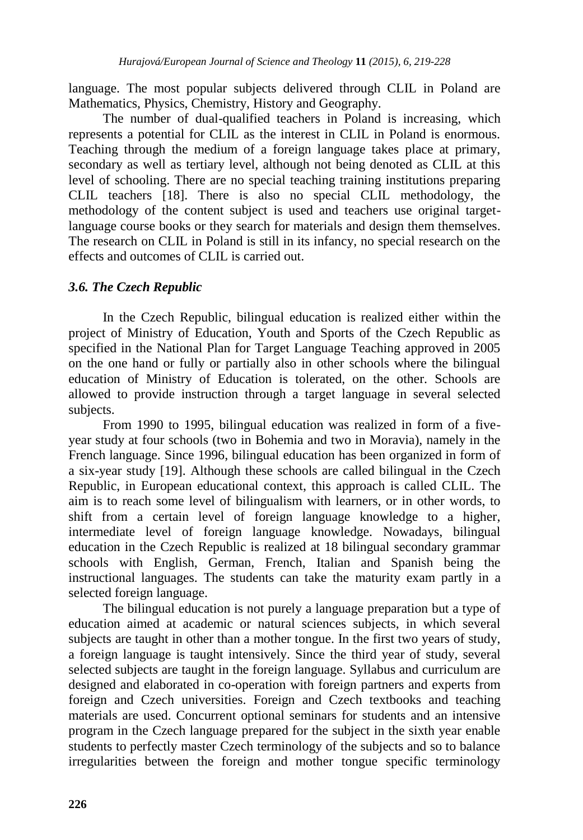language. The most popular subjects delivered through CLIL in Poland are Mathematics, Physics, Chemistry, History and Geography.

The number of dual-qualified teachers in Poland is increasing, which represents a potential for CLIL as the interest in CLIL in Poland is enormous. Teaching through the medium of a foreign language takes place at primary, secondary as well as tertiary level, although not being denoted as CLIL at this level of schooling. There are no special teaching training institutions preparing CLIL teachers [18]. There is also no special CLIL methodology, the methodology of the content subject is used and teachers use original targetlanguage course books or they search for materials and design them themselves. The research on CLIL in Poland is still in its infancy, no special research on the effects and outcomes of CLIL is carried out.

#### *3.6. The Czech Republic*

In the Czech Republic, bilingual education is realized either within the project of Ministry of Education, Youth and Sports of the Czech Republic as specified in the National Plan for Target Language Teaching approved in 2005 on the one hand or fully or partially also in other schools where the bilingual education of Ministry of Education is tolerated, on the other. Schools are allowed to provide instruction through a target language in several selected subjects.

From 1990 to 1995, bilingual education was realized in form of a fiveyear study at four schools (two in Bohemia and two in Moravia), namely in the French language. Since 1996, bilingual education has been organized in form of a six-year study [19]. Although these schools are called bilingual in the Czech Republic, in European educational context, this approach is called CLIL. The aim is to reach some level of bilingualism with learners, or in other words, to shift from a certain level of foreign language knowledge to a higher, intermediate level of foreign language knowledge. Nowadays, bilingual education in the Czech Republic is realized at 18 bilingual secondary grammar schools with English, German, French, Italian and Spanish being the instructional languages. The students can take the maturity exam partly in a selected foreign language.

The bilingual education is not purely a language preparation but a type of education aimed at academic or natural sciences subjects, in which several subjects are taught in other than a mother tongue. In the first two years of study, a foreign language is taught intensively. Since the third year of study, several selected subjects are taught in the foreign language. Syllabus and curriculum are designed and elaborated in co-operation with foreign partners and experts from foreign and Czech universities. Foreign and Czech textbooks and teaching materials are used. Concurrent optional seminars for students and an intensive program in the Czech language prepared for the subject in the sixth year enable students to perfectly master Czech terminology of the subjects and so to balance irregularities between the foreign and mother tongue specific terminology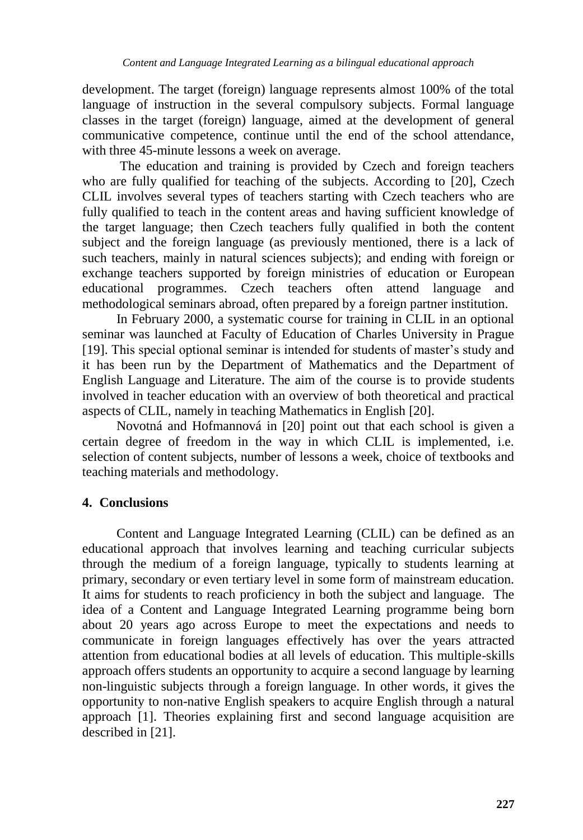development. The target (foreign) language represents almost 100% of the total language of instruction in the several compulsory subjects. Formal language classes in the target (foreign) language, aimed at the development of general communicative competence, continue until the end of the school attendance, with three 45-minute lessons a week on average.

The education and training is provided by Czech and foreign teachers who are fully qualified for teaching of the subjects. According to [20], Czech CLIL involves several types of teachers starting with Czech teachers who are fully qualified to teach in the content areas and having sufficient knowledge of the target language; then Czech teachers fully qualified in both the content subject and the foreign language (as previously mentioned, there is a lack of such teachers, mainly in natural sciences subjects); and ending with foreign or exchange teachers supported by foreign ministries of education or European educational programmes. Czech teachers often attend language and methodological seminars abroad, often prepared by a foreign partner institution.

In February 2000, a systematic course for training in CLIL in an optional seminar was launched at Faculty of Education of Charles University in Prague [19]. This special optional seminar is intended for students of master's study and it has been run by the Department of Mathematics and the Department of English Language and Literature. The aim of the course is to provide students involved in teacher education with an overview of both theoretical and practical aspects of CLIL, namely in teaching Mathematics in English [20].

Novotná and Hofmannová in [20] point out that each school is given a certain degree of freedom in the way in which CLIL is implemented, i.e. selection of content subjects, number of lessons a week, choice of textbooks and teaching materials and methodology.

# **4. Conclusions**

Content and Language Integrated Learning (CLIL) can be defined as an educational approach that involves learning and teaching curricular subjects through the medium of a foreign language, typically to students learning at primary, secondary or even tertiary level in some form of mainstream education. It aims for students to reach proficiency in both the subject and language. The idea of a Content and Language Integrated Learning programme being born about 20 years ago across Europe to meet the expectations and needs to communicate in foreign languages effectively has over the years attracted attention from educational bodies at all levels of education. This multiple-skills approach offers students an opportunity to acquire a second language by learning non-linguistic subjects through a foreign language. In other words, it gives the opportunity to non-native English speakers to acquire English through a natural approach [1]. Theories explaining first and second language acquisition are described in [21].